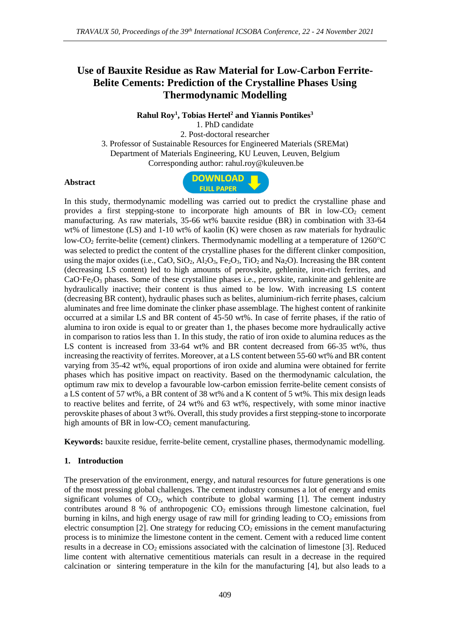# **Use of Bauxite Residue as Raw Material for Low-Carbon Ferrite-Belite Cements: Prediction of the Crystalline Phases Using Thermodynamic Modelling**

**Rahul Roy<sup>1</sup> , Tobias Hertel<sup>2</sup> and Yiannis Pontikes<sup>3</sup>**

1. PhD candidate 2. Post-doctoral researcher 3. Professor of Sustainable Resources for Engineered Materials (SREMat) Department of Materials Engineering, KU Leuven, Leuven, Belgium Corresponding author: rahul.roy@kuleuven.be

#### **Abstract**



In this study, thermodynamic modelling was carried out to predict the crystalline phase and provides a first stepping-stone to incorporate high amounts of BR in low- $CO<sub>2</sub>$  cement manufacturing. As raw materials, 35-66 wt% bauxite residue (BR) in combination with 33-64 wt% of limestone (LS) and 1-10 wt% of kaolin (K) were chosen as raw materials for hydraulic low-CO<sup>2</sup> ferrite-belite (cement) clinkers. Thermodynamic modelling at a temperature of 1260°C was selected to predict the content of the crystalline phases for the different clinker composition, using the major oxides (i.e., CaO, SiO<sub>2</sub>, Al<sub>2</sub>O<sub>3</sub>, Fe<sub>2</sub>O<sub>3</sub>, TiO<sub>2</sub> and Na<sub>2</sub>O). Increasing the BR content (decreasing LS content) led to high amounts of perovskite, gehlenite, iron-rich ferrites, and CaO·Fe<sub>2</sub>O<sub>3</sub> phases. Some of these crystalline phases i.e., perovskite, rankinite and gehlenite are hydraulically inactive; their content is thus aimed to be low. With increasing LS content (decreasing BR content), hydraulic phases such as belites, aluminium-rich ferrite phases, calcium aluminates and free lime dominate the clinker phase assemblage. The highest content of rankinite occurred at a similar LS and BR content of 45-50 wt%. In case of ferrite phases, if the ratio of alumina to iron oxide is equal to or greater than 1, the phases become more hydraulically active in comparison to ratios less than 1. In this study, the ratio of iron oxide to alumina reduces as the LS content is increased from 33-64 wt% and BR content decreased from 66-35 wt%, thus increasing the reactivity of ferrites. Moreover, at a LS content between 55-60 wt% and BR content varying from 35-42 wt%, equal proportions of iron oxide and alumina were obtained for ferrite phases which has positive impact on reactivity. Based on the thermodynamic calculation, the optimum raw mix to develop a favourable low-carbon emission ferrite-belite cement consists of a LS content of 57 wt%, a BR content of 38 wt% and a K content of 5 wt%. This mix design leads to reactive belites and ferrite, of 24 wt% and 63 wt%, respectively, with some minor inactive perovskite phases of about 3 wt%. Overall, this study provides a first stepping-stone to incorporate high amounts of BR in low- $CO<sub>2</sub>$  cement manufacturing.

**Keywords:** bauxite residue, ferrite-belite cement, crystalline phases, thermodynamic modelling.

### **1. Introduction**

The preservation of the environment, energy, and natural resources for future generations is one of the most pressing global challenges. The cement industry consumes a lot of energy and emits significant volumes of  $CO<sub>2</sub>$ , which contribute to global warming [1]. The cement industry contributes around 8 % of anthropogenic  $CO<sub>2</sub>$  emissions through limestone calcination, fuel burning in kilns, and high energy usage of raw mill for grinding leading to  $CO<sub>2</sub>$  emissions from electric consumption [2]. One strategy for reducing  $CO<sub>2</sub>$  emissions in the cement manufacturing process is to minimize the limestone content in the cement. Cement with a reduced lime content results in a decrease in  $CO<sub>2</sub>$  emissions associated with the calcination of limestone [3]. Reduced lime content with alternative cementitious materials can result in a decrease in the required calcination or sintering temperature in the kiln for the manufacturing [4], but also leads to a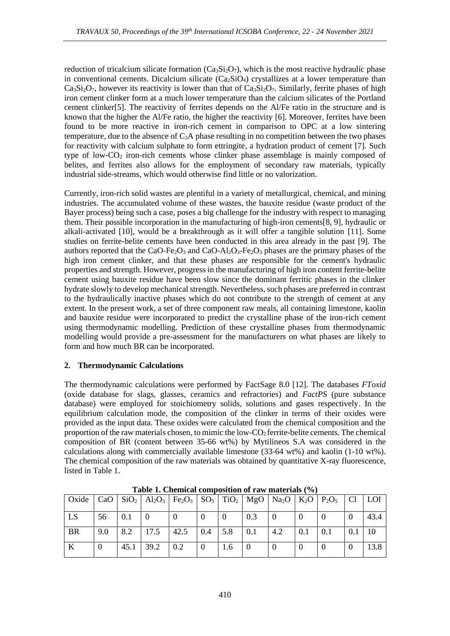reduction of tricalcium silicate formation  $(Ca_3Si_2O_7)$ , which is the most reactive hydraulic phase in conventional cements. Dicalcium silicate  $(Ca_2SiO_4)$  crystallizes at a lower temperature than  $Ca<sub>3</sub>Si<sub>2</sub>O<sub>7</sub>$ , however its reactivity is lower than that of  $Ca<sub>3</sub>Si<sub>2</sub>O<sub>7</sub>$ . Similarly, ferrite phases of high iron cement clinker form at a much lower temperature than the calcium silicates of the Portland cement clinker[5]. The reactivity of ferrites depends on the Al/Fe ratio in the structure and is known that the higher the Al/Fe ratio, the higher the reactivity [6]. Moreover, ferrites have been found to be more reactive in iron-rich cement in comparison to OPC at a low sintering temperature, due to the absence of  $C_3A$  phase resulting in no competition between the two phases for reactivity with calcium sulphate to form ettringite, a hydration product of cement [7]. Such type of low-CO<sup>2</sup> iron-rich cements whose clinker phase assemblage is mainly composed of belites, and ferrites also allows for the employment of secondary raw materials, typically industrial side-streams, which would otherwise find little or no valorization.

Currently, iron-rich solid wastes are plentiful in a variety of metallurgical, chemical, and mining industries. The accumulated volume of these wastes, the bauxite residue (waste product of the Bayer process) being such a case, poses a big challenge for the industry with respect to managing them. Their possible incorporation in the manufacturing of high-iron cements[8, 9], hydraulic or alkali-activated [10], would be a breakthrough as it will offer a tangible solution [11]. Some studies on ferrite-belite cements have been conducted in this area already in the past [9]. The authors reported that the CaO-Fe<sub>2</sub>O<sub>3</sub> and CaO-Al<sub>2</sub>O<sub>3</sub>-Fe<sub>2</sub>O<sub>3</sub> phases are the primary phases of the high iron cement clinker, and that these phases are responsible for the cement's hydraulic properties and strength. However, progress in the manufacturing of high iron content ferrite-belite cement using bauxite residue have been slow since the dominant ferritic phases in the clinker hydrate slowly to develop mechanical strength. Nevertheless, such phases are preferred in contrast to the hydraulically inactive phases which do not contribute to the strength of cement at any extent. In the present work, a set of three component raw meals, all containing limestone, kaolin and bauxite residue were incorporated to predict the crystalline phase of the iron-rich cement using thermodynamic modelling. Prediction of these crystalline phases from thermodynamic modelling would provide a pre-assessment for the manufacturers on what phases are likely to form and how much BR can be incorporated.

### **2. Thermodynamic Calculations**

The thermodynamic calculations were performed by FactSage 8.0 [12]. The databases *FToxid* (oxide database for slags, glasses, ceramics and refractories) and *FactPS* (pure substance database) were employed for stoichiometry solids, solutions and gases respectively. In the equilibrium calculation mode, the composition of the clinker in terms of their oxides were provided as the input data. These oxides were calculated from the chemical composition and the proportion of the raw materials chosen, to mimic the low- $CO<sub>2</sub>$  ferrite-belite cements. The chemical composition of BR (content between 35-66 wt%) by Mytilineos S.A was considered in the calculations along with commercially available limestone  $(33-64 \text{ wt\%})$  and kaolin  $(1-10 \text{ wt\%})$ . The chemical composition of the raw materials was obtained by quantitative X-ray fluorescence, listed in Table 1.

| Oxide   CaO   SiO <sub>2</sub>   Al <sub>2</sub> O <sub>3</sub>   Fe <sub>2</sub> O <sub>3</sub>   SO <sub>3</sub>   TiO <sub>2</sub>   MgO   Na <sub>2</sub> O   K <sub>2</sub> O   P <sub>2</sub> O <sub>5</sub>   Cl   LOI |     |                 |                                         |     |     |          |     |                |     |          |          |      |
|-------------------------------------------------------------------------------------------------------------------------------------------------------------------------------------------------------------------------------|-----|-----------------|-----------------------------------------|-----|-----|----------|-----|----------------|-----|----------|----------|------|
| LS                                                                                                                                                                                                                            | 56  | $\mid 0.1 \mid$ | $\overline{0}$                          |     | l 0 | $\theta$ | 0.3 | $\overline{0}$ |     | $\theta$ | $\theta$ | 43.4 |
| <b>BR</b>                                                                                                                                                                                                                     | 9.0 |                 | $\vert 8.2 \vert 17.5 \vert 42.5 \vert$ |     | 0.4 | 5.8      | 0.1 | 4.2            | 0.1 | 0.1      | 0.1      | 10   |
| K                                                                                                                                                                                                                             |     | 45.1            | $39.2$                                  | 0.2 | l 0 | 1.6      |     |                |     | $\Omega$ |          | 13.8 |

**Table 1. Chemical composition of raw materials (%)**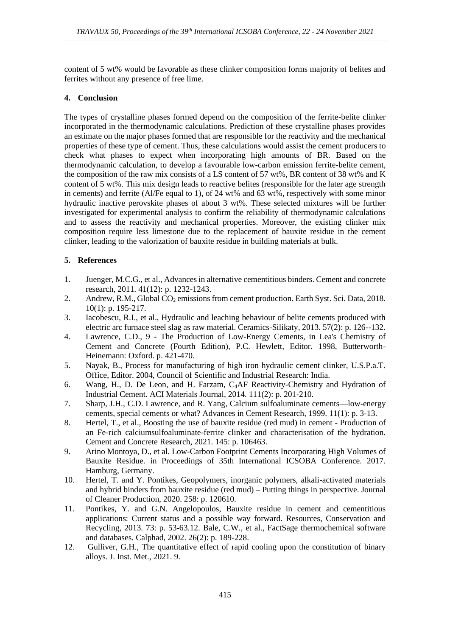content of 5 wt% would be favorable as these clinker composition forms majority of belites and ferrites without any presence of free lime.

## **4. Conclusion**

The types of crystalline phases formed depend on the composition of the ferrite-belite clinker incorporated in the thermodynamic calculations. Prediction of these crystalline phases provides an estimate on the major phases formed that are responsible for the reactivity and the mechanical properties of these type of cement. Thus, these calculations would assist the cement producers to check what phases to expect when incorporating high amounts of BR. Based on the thermodynamic calculation, to develop a favourable low-carbon emission ferrite-belite cement, the composition of the raw mix consists of a LS content of 57 wt%, BR content of 38 wt% and K content of 5 wt%. This mix design leads to reactive belites (responsible for the later age strength in cements) and ferrite (Al/Fe equal to 1), of 24 wt% and 63 wt%, respectively with some minor hydraulic inactive perovskite phases of about 3 wt%. These selected mixtures will be further investigated for experimental analysis to confirm the reliability of thermodynamic calculations and to assess the reactivity and mechanical properties. Moreover, the existing clinker mix composition require less limestone due to the replacement of bauxite residue in the cement clinker, leading to the valorization of bauxite residue in building materials at bulk.

## **5. References**

- 1. Juenger, M.C.G., et al., Advances in alternative cementitious binders. Cement and concrete research, 2011. 41(12): p. 1232-1243.
- 2. Andrew, R.M., Global CO<sub>2</sub> emissions from cement production. Earth Syst. Sci. Data, 2018. 10(1): p. 195-217.
- 3. Iacobescu, R.I., et al., Hydraulic and leaching behaviour of belite cements produced with electric arc furnace steel slag as raw material. Ceramics-Silikaty, 2013. 57(2): p. 126--132.
- 4. Lawrence, C.D., 9 The Production of Low-Energy Cements, in Lea's Chemistry of Cement and Concrete (Fourth Edition), P.C. Hewlett, Editor. 1998, Butterworth-Heinemann: Oxford. p. 421-470.
- 5. Nayak, B., Process for manufacturing of high iron hydraulic cement clinker, U.S.P.a.T. Office, Editor. 2004, Council of Scientific and Industrial Research: India.
- 6. Wang, H., D. De Leon, and H. Farzam, C4AF Reactivity-Chemistry and Hydration of Industrial Cement. ACI Materials Journal, 2014. 111(2): p. 201-210.
- 7. Sharp, J.H., C.D. Lawrence, and R. Yang, Calcium sulfoaluminate cements—low-energy cements, special cements or what? Advances in Cement Research, 1999. 11(1): p. 3-13.
- 8. Hertel, T., et al., Boosting the use of bauxite residue (red mud) in cement Production of an Fe-rich calciumsulfoaluminate-ferrite clinker and characterisation of the hydration. Cement and Concrete Research, 2021. 145: p. 106463.
- 9. Arino Montoya, D., et al. Low-Carbon Footprint Cements Incorporating High Volumes of Bauxite Residue. in Proceedings of 35th International ICSOBA Conference. 2017. Hamburg, Germany.
- 10. Hertel, T. and Y. Pontikes, Geopolymers, inorganic polymers, alkali-activated materials and hybrid binders from bauxite residue (red mud) – Putting things in perspective. Journal of Cleaner Production, 2020. 258: p. 120610.
- 11. Pontikes, Y. and G.N. Angelopoulos, Bauxite residue in cement and cementitious applications: Current status and a possible way forward. Resources, Conservation and Recycling, 2013. 73: p. 53-63.12. Bale, C.W., et al., FactSage thermochemical software and databases. Calphad, 2002. 26(2): p. 189-228.
- 12. Gulliver, G.H., The quantitative effect of rapid cooling upon the constitution of binary alloys. J. Inst. Met., 2021. 9.